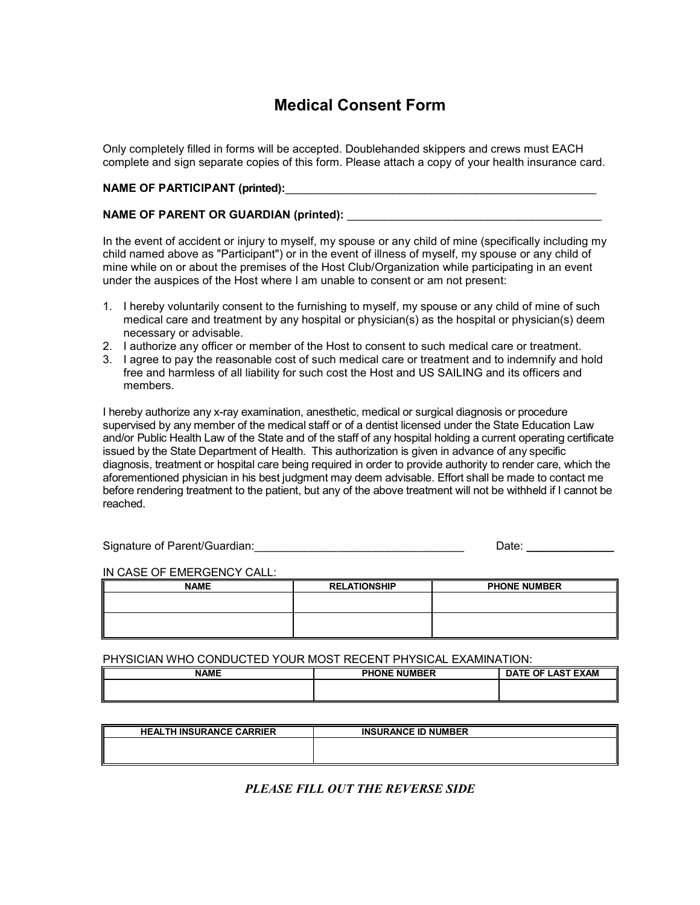# **Medical Consent Form**

Only completely filled in forms will be accepted. Doublehanded skippers and crews must EACH complete and sign separate copies of this form. Please attach a copy of your health insurance card.

### **NAME OF PARTICIPANT (printed):**

## **NAME OF PARENT OR GUARDIAN (printed):**

In the event of accident or injury to myself, my spouse or any child of mine (specifically including my child named above as "Participant") or in the event of illness of myself, my spouse or any child of mine while on or about the premises of the Host Club/Organization while participating in an event under the auspices of the Host where I am unable to consent or am not present:

- 1. I hereby voluntarily consent to the furnishing to myself, my spouse or any child of mine of such medical care and treatment by any hospital or physician(s) as the hospital or physician(s) deem necessary or advisable.
- 2. I authorize any officer or member of the Host to consent to such medical care or treatment.
- 3. I agree to pay the reasonable cost of such medical care or treatment and to indemnify and hold free and harmless of all liability for such cost the Host and US SAILING and its officers and members.

I hereby authorize any x-ray examination, anesthetic, medical or surgical diagnosis or procedure supervised by any member of the medical staff or of a dentist licensed under the State Education Law and/or Public Health Law of the State and of the staff of any hospital holding a current operating certificate issued by the State Department of Health. This authorization is given in advance of any specific diagnosis, treatment or hospital care being required in order to provide authority to render care, which the aforementioned physician in his best judgment may deem advisable. Effort shall be made to contact me before rendering treatment to the patient, but any of the above treatment will not be withheld if I cannot be reached.

| Signature of Parent/Guardian: | Date: |  |
|-------------------------------|-------|--|
|                               |       |  |

IN CASE OF EMERGENCY CALL:

| <b>NAME</b> | <b>RELATIONSHIP</b> | <b>PHONE NUMBER</b> |
|-------------|---------------------|---------------------|
|             |                     |                     |
|             |                     |                     |
|             |                     |                     |

#### PHYSICIAN WHO CONDUCTED YOUR MOST RECENT PHYSICAL EXAMINATION:

| <b>NAME</b> | <b>PHONE NUMBER</b> | <b>\TE OF LAST EXAM</b><br>DA. |
|-------------|---------------------|--------------------------------|
| ║           |                     |                                |
|             |                     |                                |

| <b>HEALTH INSURANCE CARRIER</b> | <b>INSURANCE ID NUMBER</b> |
|---------------------------------|----------------------------|
|                                 |                            |
|                                 |                            |

# *PLEASE FILL OUT THE REVERSE SIDE*